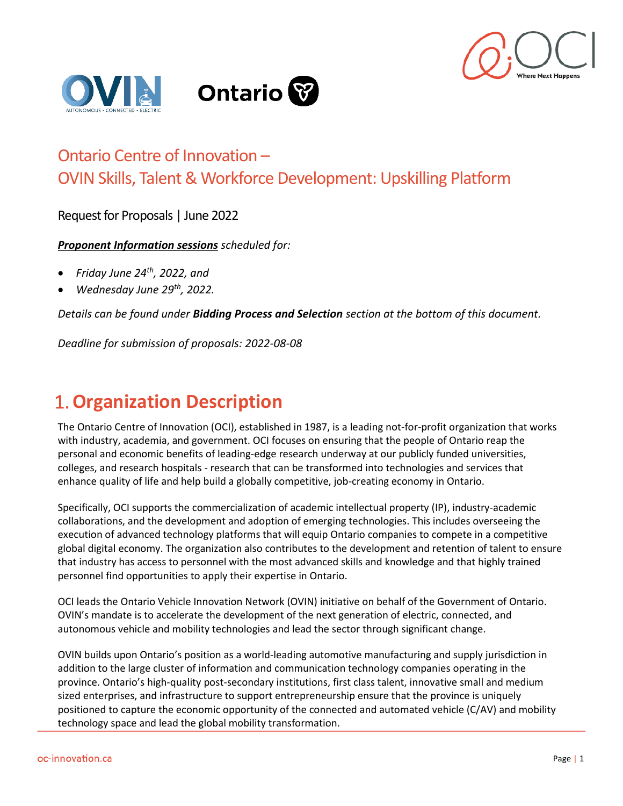



#### Ontario Centre of Innovation – OVIN Skills, Talent & Workforce Development: Upskilling Platform

Request for Proposals | June 2022

*Proponent Information sessions scheduled for:*

- *Friday June 24th , 2022, and*
- *Wednesday June 29th, 2022.*

*Details can be found under Bidding Process and Selection section at the bottom of this document.* 

*Deadline for submission of proposals: 2022-08-08*

#### 1.**Organization Description**

The Ontario Centre of Innovation (OCI), established in 1987, is a leading not-for-profit organization that works with industry, academia, and government. OCI focuses on ensuring that the people of Ontario reap the personal and economic benefits of leading-edge research underway at our publicly funded universities, colleges, and research hospitals - research that can be transformed into technologies and services that enhance quality of life and help build a globally competitive, job-creating economy in Ontario.

Specifically, OCI supports the commercialization of academic intellectual property (IP), industry-academic collaborations, and the development and adoption of emerging technologies. This includes overseeing the execution of advanced technology platforms that will equip Ontario companies to compete in a competitive global digital economy. The organization also contributes to the development and retention of talent to ensure that industry has access to personnel with the most advanced skills and knowledge and that highly trained personnel find opportunities to apply their expertise in Ontario.

OCI leads the Ontario Vehicle Innovation Network (OVIN) initiative on behalf of the Government of Ontario. OVIN's mandate is to accelerate the development of the next generation of electric, connected, and autonomous vehicle and mobility technologies and lead the sector through significant change.

OVIN builds upon Ontario's position as a world-leading automotive manufacturing and supply jurisdiction in addition to the large cluster of information and communication technology companies operating in the province. Ontario's high-quality post-secondary institutions, first class talent, innovative small and medium sized enterprises, and infrastructure to support entrepreneurship ensure that the province is uniquely positioned to capture the economic opportunity of the connected and automated vehicle (C/AV) and mobility technology space and lead the global mobility transformation.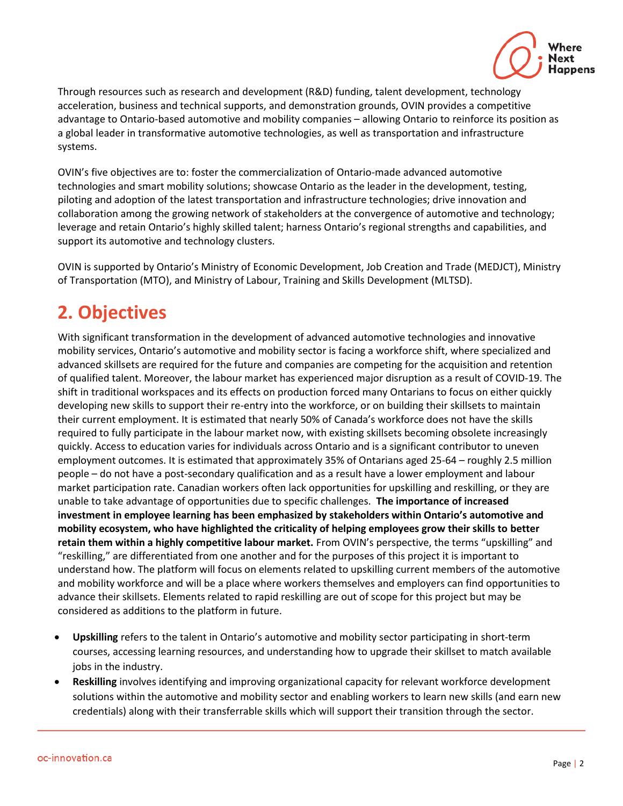

Through resources such as research and development (R&D) funding, talent development, technology acceleration, business and technical supports, and demonstration grounds, OVIN provides a competitive advantage to Ontario-based automotive and mobility companies – allowing Ontario to reinforce its position as a global leader in transformative automotive technologies, as well as transportation and infrastructure systems.

OVIN's five objectives are to: foster the commercialization of Ontario-made advanced automotive technologies and smart mobility solutions; showcase Ontario as the leader in the development, testing, piloting and adoption of the latest transportation and infrastructure technologies; drive innovation and collaboration among the growing network of stakeholders at the convergence of automotive and technology; leverage and retain Ontario's highly skilled talent; harness Ontario's regional strengths and capabilities, and support its automotive and technology clusters.

OVIN is supported by Ontario's Ministry of Economic Development, Job Creation and Trade (MEDJCT), Ministry of Transportation (MTO), and Ministry of Labour, Training and Skills Development (MLTSD).

## **2. Objectives**

With significant transformation in the development of advanced automotive technologies and innovative mobility services, Ontario's automotive and mobility sector is facing a workforce shift, where specialized and advanced skillsets are required for the future and companies are competing for the acquisition and retention of qualified talent. Moreover, the labour market has experienced major disruption as a result of COVID-19. The shift in traditional workspaces and its effects on production forced many Ontarians to focus on either quickly developing new skills to support their re-entry into the workforce, or on building their skillsets to maintain their current employment. It is estimated that nearly 50% of Canada's workforce does not have the skills required to fully participate in the labour market now, with existing skillsets becoming obsolete increasingly quickly. Access to education varies for individuals across Ontario and is a significant contributor to uneven employment outcomes. It is estimated that approximately 35% of Ontarians aged 25-64 – roughly 2.5 million people – do not have a post-secondary qualification and as a result have a lower employment and labour market participation rate. Canadian workers often lack opportunities for upskilling and reskilling, or they are unable to take advantage of opportunities due to specific challenges. **The importance of increased investment in employee learning has been emphasized by stakeholders within Ontario's automotive and mobility ecosystem, who have highlighted the criticality of helping employees grow their skills to better retain them within a highly competitive labour market.** From OVIN's perspective, the terms "upskilling" and "reskilling," are differentiated from one another and for the purposes of this project it is important to understand how. The platform will focus on elements related to upskilling current members of the automotive and mobility workforce and will be a place where workers themselves and employers can find opportunities to advance their skillsets. Elements related to rapid reskilling are out of scope for this project but may be considered as additions to the platform in future.

- **Upskilling** refers to the talent in Ontario's automotive and mobility sector participating in short-term courses, accessing learning resources, and understanding how to upgrade their skillset to match available jobs in the industry.
- **Reskilling** involves identifying and improving organizational capacity for relevant workforce development solutions within the automotive and mobility sector and enabling workers to learn new skills (and earn new credentials) along with their transferrable skills which will support their transition through the sector.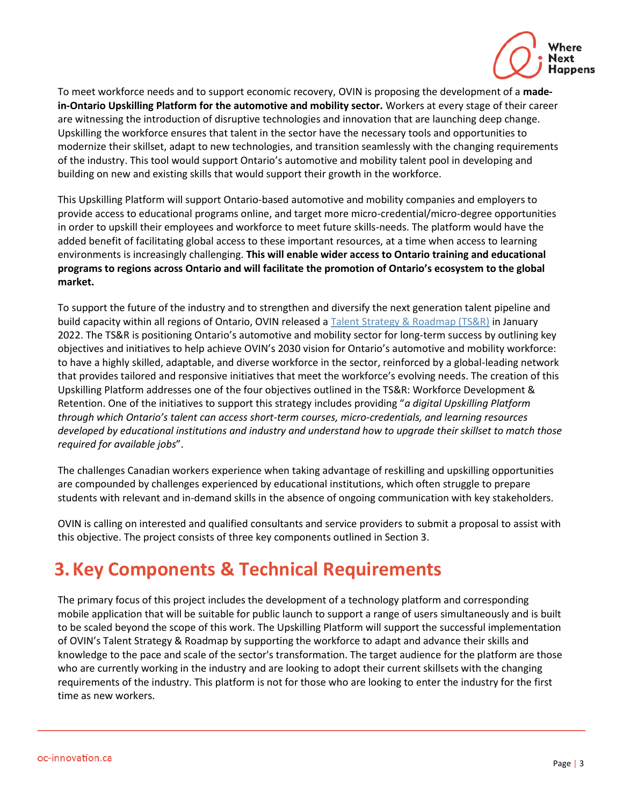

To meet workforce needs and to support economic recovery, OVIN is proposing the development of a **madein-Ontario Upskilling Platform for the automotive and mobility sector.** Workers at every stage of their career are witnessing the introduction of disruptive technologies and innovation that are launching deep change. Upskilling the workforce ensures that talent in the sector have the necessary tools and opportunities to modernize their skillset, adapt to new technologies, and transition seamlessly with the changing requirements of the industry. This tool would support Ontario's automotive and mobility talent pool in developing and building on new and existing skills that would support their growth in the workforce.

This Upskilling Platform will support Ontario-based automotive and mobility companies and employers to provide access to educational programs online, and target more micro-credential/micro-degree opportunities in order to upskill their employees and workforce to meet future skills-needs. The platform would have the added benefit of facilitating global access to these important resources, at a time when access to learning environments is increasingly challenging. **This will enable wider access to Ontario training and educational programs to regions across Ontario and will facilitate the promotion of Ontario's ecosystem to the global market.**

To support the future of the industry and to strengthen and diversify the next generation talent pipeline and build capacity within all regions of Ontario, OVIN released a [Talent Strategy & Roadmap \(TS&R\)](https://ovin-navigator.ca/wp-content/uploads/2022/01/OVIN_TalentStrategyRoadmap-English-2021.12.17-FINAL-ua.pdf) in January 2022. The TS&R is positioning Ontario's automotive and mobility sector for long-term success by outlining key objectives and initiatives to help achieve OVIN's 2030 vision for Ontario's automotive and mobility workforce: to have a highly skilled, adaptable, and diverse workforce in the sector, reinforced by a global-leading network that provides tailored and responsive initiatives that meet the workforce's evolving needs. The creation of this Upskilling Platform addresses one of the four objectives outlined in the TS&R: Workforce Development & Retention. One of the initiatives to support this strategy includes providing "*a digital Upskilling Platform through which Ontario's talent can access short-term courses, micro-credentials, and learning resources developed by educational institutions and industry and understand how to upgrade their skillset to match those required for available jobs*".

The challenges Canadian workers experience when taking advantage of reskilling and upskilling opportunities are compounded by challenges experienced by educational institutions, which often struggle to prepare students with relevant and in-demand skills in the absence of ongoing communication with key stakeholders.

OVIN is calling on interested and qualified consultants and service providers to submit a proposal to assist with this objective. The project consists of three key components outlined in Section 3.

## **3.Key Components & Technical Requirements**

The primary focus of this project includes the development of a technology platform and corresponding mobile application that will be suitable for public launch to support a range of users simultaneously and is built to be scaled beyond the scope of this work. The Upskilling Platform will support the successful implementation of OVIN's Talent Strategy & Roadmap by supporting the workforce to adapt and advance their skills and knowledge to the pace and scale of the sector's transformation. The target audience for the platform are those who are currently working in the industry and are looking to adopt their current skillsets with the changing requirements of the industry. This platform is not for those who are looking to enter the industry for the first time as new workers.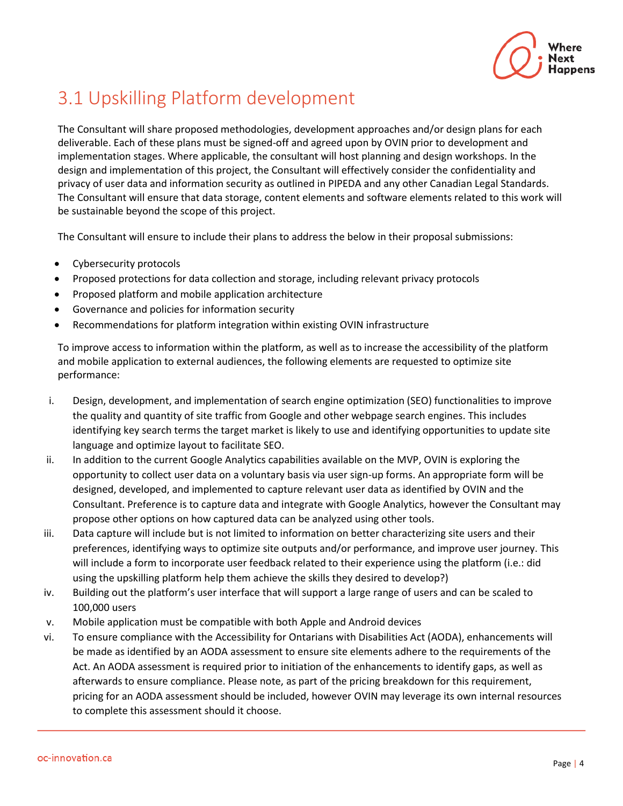

# 3.1 Upskilling Platform development

The Consultant will share proposed methodologies, development approaches and/or design plans for each deliverable. Each of these plans must be signed-off and agreed upon by OVIN prior to development and implementation stages. Where applicable, the consultant will host planning and design workshops. In the design and implementation of this project, the Consultant will effectively consider the confidentiality and privacy of user data and information security as outlined in PIPEDA and any other Canadian Legal Standards. The Consultant will ensure that data storage, content elements and software elements related to this work will be sustainable beyond the scope of this project.

The Consultant will ensure to include their plans to address the below in their proposal submissions:

- Cybersecurity protocols
- Proposed protections for data collection and storage, including relevant privacy protocols
- Proposed platform and mobile application architecture
- Governance and policies for information security
- Recommendations for platform integration within existing OVIN infrastructure

To improve access to information within the platform, as well as to increase the accessibility of the platform and mobile application to external audiences, the following elements are requested to optimize site performance:

- i. Design, development, and implementation of search engine optimization (SEO) functionalities to improve the quality and quantity of site traffic from Google and other webpage search engines. This includes identifying key search terms the target market is likely to use and identifying opportunities to update site language and optimize layout to facilitate SEO.
- ii. In addition to the current Google Analytics capabilities available on the MVP, OVIN is exploring the opportunity to collect user data on a voluntary basis via user sign-up forms. An appropriate form will be designed, developed, and implemented to capture relevant user data as identified by OVIN and the Consultant. Preference is to capture data and integrate with Google Analytics, however the Consultant may propose other options on how captured data can be analyzed using other tools.
- iii. Data capture will include but is not limited to information on better characterizing site users and their preferences, identifying ways to optimize site outputs and/or performance, and improve user journey. This will include a form to incorporate user feedback related to their experience using the platform (i.e.: did using the upskilling platform help them achieve the skills they desired to develop?)
- iv. Building out the platform's user interface that will support a large range of users and can be scaled to 100,000 users
- v. Mobile application must be compatible with both Apple and Android devices
- vi. To ensure compliance with the Accessibility for Ontarians with Disabilities Act (AODA), enhancements will be made as identified by an AODA assessment to ensure site elements adhere to the requirements of the Act. An AODA assessment is required prior to initiation of the enhancements to identify gaps, as well as afterwards to ensure compliance. Please note, as part of the pricing breakdown for this requirement, pricing for an AODA assessment should be included, however OVIN may leverage its own internal resources to complete this assessment should it choose.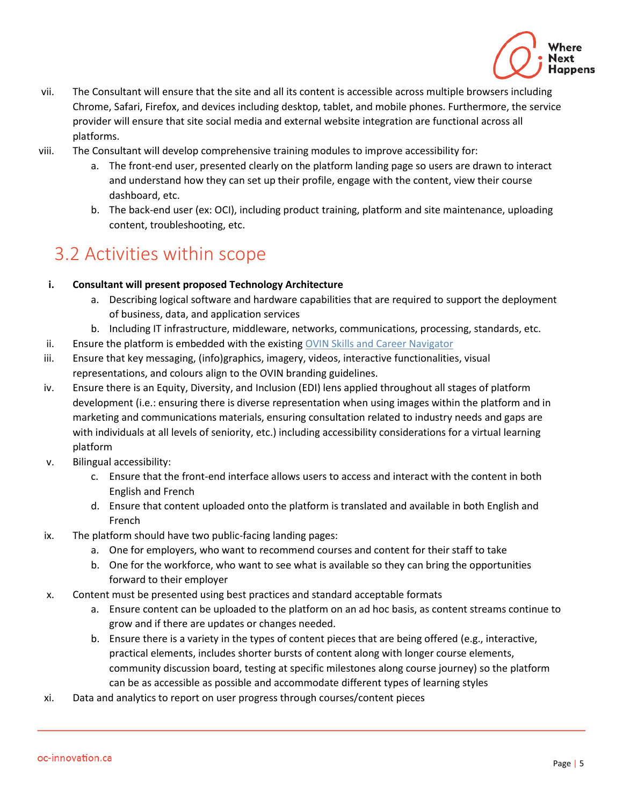

- vii. The Consultant will ensure that the site and all its content is accessible across multiple browsers including Chrome, Safari, Firefox, and devices including desktop, tablet, and mobile phones. Furthermore, the service provider will ensure that site social media and external website integration are functional across all platforms.
- viii. The Consultant will develop comprehensive training modules to improve accessibility for:
	- a. The front-end user, presented clearly on the platform landing page so users are drawn to interact and understand how they can set up their profile, engage with the content, view their course dashboard, etc.
	- b. The back-end user (ex: OCI), including product training, platform and site maintenance, uploading content, troubleshooting, etc.

#### 3.2 Activities within scope

#### **i. Consultant will present proposed Technology Architecture**

- a. Describing logical software and hardware capabilities that are required to support the deployment of business, data, and application services
- b. Including IT infrastructure, middleware, networks, communications, processing, standards, etc.
- ii. Ensure the platform is embedded with the existing OVIN Skills and Career Navigator
- iii. Ensure that key messaging, (info)graphics, imagery, videos, interactive functionalities, visual representations, and colours align to the OVIN branding guidelines.
- iv. Ensure there is an Equity, Diversity, and Inclusion (EDI) lens applied throughout all stages of platform development (i.e.: ensuring there is diverse representation when using images within the platform and in marketing and communications materials, ensuring consultation related to industry needs and gaps are with individuals at all levels of seniority, etc.) including accessibility considerations for a virtual learning platform
- v. Bilingual accessibility:
	- c. Ensure that the front-end interface allows users to access and interact with the content in both English and French
	- d. Ensure that content uploaded onto the platform is translated and available in both English and French
- ix. The platform should have two public-facing landing pages:
	- a. One for employers, who want to recommend courses and content for their staff to take
	- b. One for the workforce, who want to see what is available so they can bring the opportunities forward to their employer
- x. Content must be presented using best practices and standard acceptable formats
	- a. Ensure content can be uploaded to the platform on an ad hoc basis, as content streams continue to grow and if there are updates or changes needed.
	- b. Ensure there is a variety in the types of content pieces that are being offered (e.g., interactive, practical elements, includes shorter bursts of content along with longer course elements, community discussion board, testing at specific milestones along course journey) so the platform can be as accessible as possible and accommodate different types of learning styles
- xi. Data and analytics to report on user progress through courses/content pieces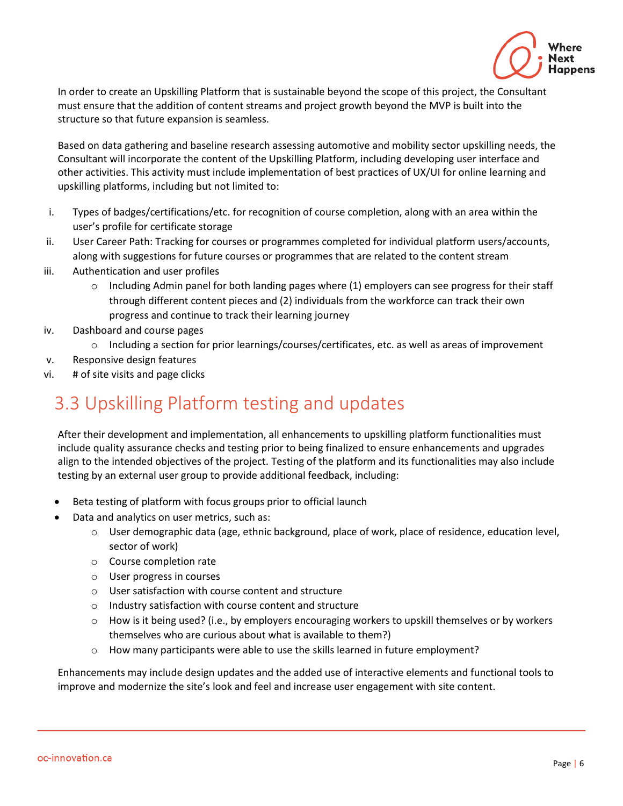

In order to create an Upskilling Platform that is sustainable beyond the scope of this project, the Consultant must ensure that the addition of content streams and project growth beyond the MVP is built into the structure so that future expansion is seamless.

Based on data gathering and baseline research assessing automotive and mobility sector upskilling needs, the Consultant will incorporate the content of the Upskilling Platform, including developing user interface and other activities. This activity must include implementation of best practices of UX/UI for online learning and upskilling platforms, including but not limited to:

- i. Types of badges/certifications/etc. for recognition of course completion, along with an area within the user's profile for certificate storage
- ii. User Career Path: Tracking for courses or programmes completed for individual platform users/accounts, along with suggestions for future courses or programmes that are related to the content stream
- iii. Authentication and user profiles
	- $\circ$  Including Admin panel for both landing pages where (1) employers can see progress for their staff through different content pieces and (2) individuals from the workforce can track their own progress and continue to track their learning journey
- iv. Dashboard and course pages
	- $\circ$  Including a section for prior learnings/courses/certificates, etc. as well as areas of improvement
- v. Responsive design features
- vi. # of site visits and page clicks

## 3.3 Upskilling Platform testing and updates

After their development and implementation, all enhancements to upskilling platform functionalities must include quality assurance checks and testing prior to being finalized to ensure enhancements and upgrades align to the intended objectives of the project. Testing of the platform and its functionalities may also include testing by an external user group to provide additional feedback, including:

- Beta testing of platform with focus groups prior to official launch
- Data and analytics on user metrics, such as:
	- o User demographic data (age, ethnic background, place of work, place of residence, education level, sector of work)
	- o Course completion rate
	- o User progress in courses
	- o User satisfaction with course content and structure
	- o Industry satisfaction with course content and structure
	- $\circ$  How is it being used? (i.e., by employers encouraging workers to upskill themselves or by workers themselves who are curious about what is available to them?)
	- $\circ$  How many participants were able to use the skills learned in future employment?

Enhancements may include design updates and the added use of interactive elements and functional tools to improve and modernize the site's look and feel and increase user engagement with site content.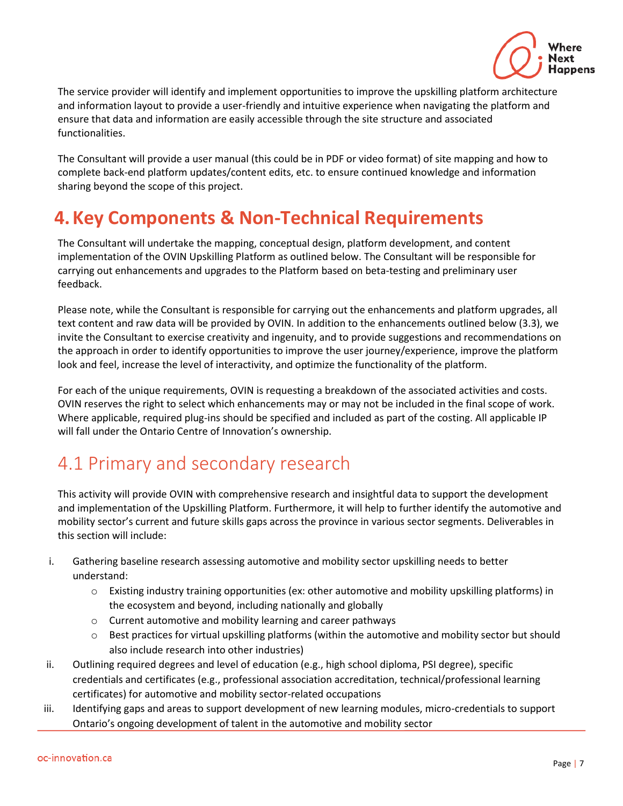

The service provider will identify and implement opportunities to improve the upskilling platform architecture and information layout to provide a user-friendly and intuitive experience when navigating the platform and ensure that data and information are easily accessible through the site structure and associated functionalities.

The Consultant will provide a user manual (this could be in PDF or video format) of site mapping and how to complete back-end platform updates/content edits, etc. to ensure continued knowledge and information sharing beyond the scope of this project.

### **4.Key Components & Non-Technical Requirements**

The Consultant will undertake the mapping, conceptual design, platform development, and content implementation of the OVIN Upskilling Platform as outlined below. The Consultant will be responsible for carrying out enhancements and upgrades to the Platform based on beta-testing and preliminary user feedback.

Please note, while the Consultant is responsible for carrying out the enhancements and platform upgrades, all text content and raw data will be provided by OVIN. In addition to the enhancements outlined below (3.3), we invite the Consultant to exercise creativity and ingenuity, and to provide suggestions and recommendations on the approach in order to identify opportunities to improve the user journey/experience, improve the platform look and feel, increase the level of interactivity, and optimize the functionality of the platform.

For each of the unique requirements, OVIN is requesting a breakdown of the associated activities and costs. OVIN reserves the right to select which enhancements may or may not be included in the final scope of work. Where applicable, required plug-ins should be specified and included as part of the costing. All applicable IP will fall under the Ontario Centre of Innovation's ownership.

# 4.1 Primary and secondary research

This activity will provide OVIN with comprehensive research and insightful data to support the development and implementation of the Upskilling Platform. Furthermore, it will help to further identify the automotive and mobility sector's current and future skills gaps across the province in various sector segments. Deliverables in this section will include:

- i. Gathering baseline research assessing automotive and mobility sector upskilling needs to better understand:
	- o Existing industry training opportunities (ex: other automotive and mobility upskilling platforms) in the ecosystem and beyond, including nationally and globally
	- o Current automotive and mobility learning and career pathways
	- o Best practices for virtual upskilling platforms (within the automotive and mobility sector but should also include research into other industries)
- ii. Outlining required degrees and level of education (e.g., high school diploma, PSI degree), specific credentials and certificates (e.g., professional association accreditation, technical/professional learning certificates) for automotive and mobility sector-related occupations
- iii. Identifying gaps and areas to support development of new learning modules, micro-credentials to support Ontario's ongoing development of talent in the automotive and mobility sector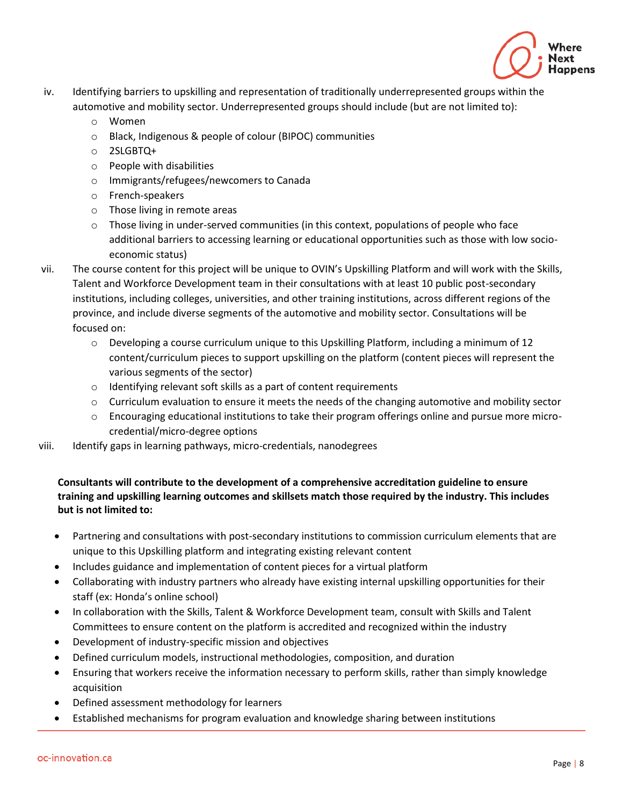

- iv. Identifying barriers to upskilling and representation of traditionally underrepresented groups within the automotive and mobility sector. Underrepresented groups should include (but are not limited to):
	- o Women
	- o Black, Indigenous & people of colour (BIPOC) communities
	- o 2SLGBTQ+
	- o People with disabilities
	- o Immigrants/refugees/newcomers to Canada
	- o French-speakers
	- o Those living in remote areas
	- $\circ$  Those living in under-served communities (in this context, populations of people who face additional barriers to accessing learning or educational opportunities such as those with low socioeconomic status)
- vii. The course content for this project will be unique to OVIN's Upskilling Platform and will work with the Skills, Talent and Workforce Development team in their consultations with at least 10 public post-secondary institutions, including colleges, universities, and other training institutions, across different regions of the province, and include diverse segments of the automotive and mobility sector. Consultations will be focused on:
	- $\circ$  Developing a course curriculum unique to this Upskilling Platform, including a minimum of 12 content/curriculum pieces to support upskilling on the platform (content pieces will represent the various segments of the sector)
	- o Identifying relevant soft skills as a part of content requirements
	- $\circ$  Curriculum evaluation to ensure it meets the needs of the changing automotive and mobility sector
	- $\circ$  Encouraging educational institutions to take their program offerings online and pursue more microcredential/micro-degree options
- viii. Identify gaps in learning pathways, micro-credentials, nanodegrees

#### **Consultants will contribute to the development of a comprehensive accreditation guideline to ensure training and upskilling learning outcomes and skillsets match those required by the industry. This includes but is not limited to:**

- Partnering and consultations with post-secondary institutions to commission curriculum elements that are unique to this Upskilling platform and integrating existing relevant content
- Includes guidance and implementation of content pieces for a virtual platform
- Collaborating with industry partners who already have existing internal upskilling opportunities for their staff (ex: Honda's online school)
- In collaboration with the Skills, Talent & Workforce Development team, consult with Skills and Talent Committees to ensure content on the platform is accredited and recognized within the industry
- Development of industry-specific mission and objectives
- Defined curriculum models, instructional methodologies, composition, and duration
- Ensuring that workers receive the information necessary to perform skills, rather than simply knowledge acquisition
- Defined assessment methodology for learners
- Established mechanisms for program evaluation and knowledge sharing between institutions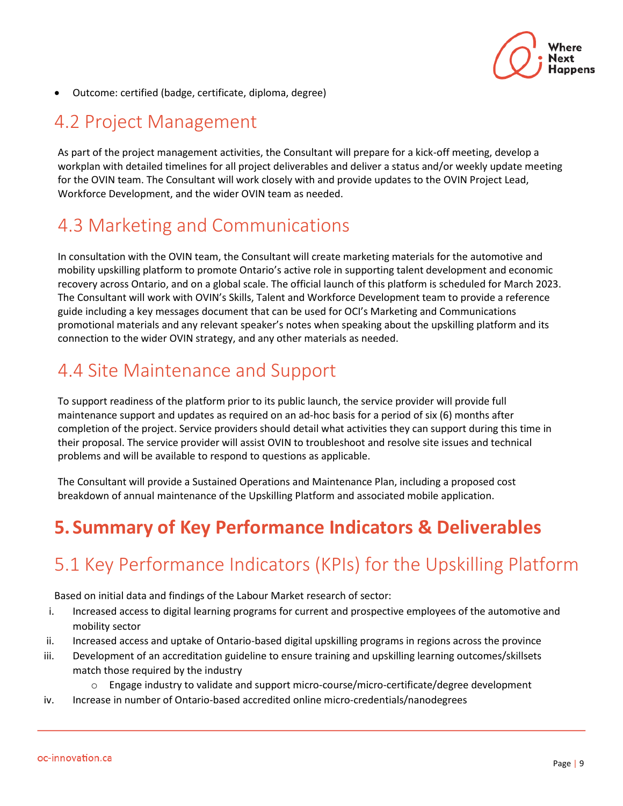

• Outcome: certified (badge, certificate, diploma, degree)

#### 4.2 Project Management

As part of the project management activities, the Consultant will prepare for a kick-off meeting, develop a workplan with detailed timelines for all project deliverables and deliver a status and/or weekly update meeting for the OVIN team. The Consultant will work closely with and provide updates to the OVIN Project Lead, Workforce Development, and the wider OVIN team as needed.

### 4.3 Marketing and Communications

In consultation with the OVIN team, the Consultant will create marketing materials for the automotive and mobility upskilling platform to promote Ontario's active role in supporting talent development and economic recovery across Ontario, and on a global scale. The official launch of this platform is scheduled for March 2023. The Consultant will work with OVIN's Skills, Talent and Workforce Development team to provide a reference guide including a key messages document that can be used for OCI's Marketing and Communications promotional materials and any relevant speaker's notes when speaking about the upskilling platform and its connection to the wider OVIN strategy, and any other materials as needed.

## 4.4 Site Maintenance and Support

To support readiness of the platform prior to its public launch, the service provider will provide full maintenance support and updates as required on an ad-hoc basis for a period of six (6) months after completion of the project. Service providers should detail what activities they can support during this time in their proposal. The service provider will assist OVIN to troubleshoot and resolve site issues and technical problems and will be available to respond to questions as applicable.

The Consultant will provide a Sustained Operations and Maintenance Plan, including a proposed cost breakdown of annual maintenance of the Upskilling Platform and associated mobile application.

# **5. Summary of Key Performance Indicators & Deliverables**

# 5.1 Key Performance Indicators (KPIs) for the Upskilling Platform

Based on initial data and findings of the Labour Market research of sector:

- i. Increased access to digital learning programs for current and prospective employees of the automotive and mobility sector
- ii. Increased access and uptake of Ontario-based digital upskilling programs in regions across the province
- iii. Development of an accreditation guideline to ensure training and upskilling learning outcomes/skillsets match those required by the industry
	- o Engage industry to validate and support micro-course/micro-certificate/degree development
- iv. Increase in number of Ontario-based accredited online micro-credentials/nanodegrees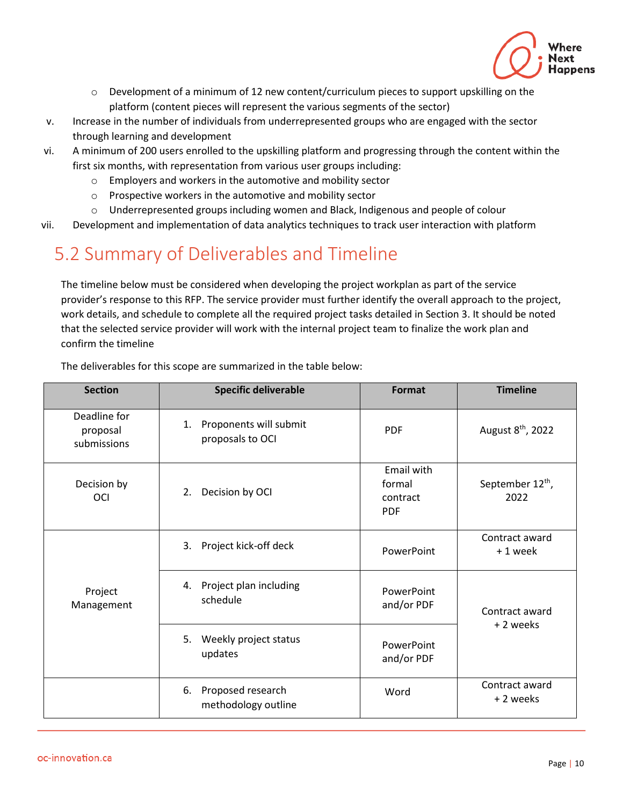

- $\circ$  Development of a minimum of 12 new content/curriculum pieces to support upskilling on the platform (content pieces will represent the various segments of the sector)
- v. Increase in the number of individuals from underrepresented groups who are engaged with the sector through learning and development
- vi. A minimum of 200 users enrolled to the upskilling platform and progressing through the content within the first six months, with representation from various user groups including:
	- o Employers and workers in the automotive and mobility sector
	- o Prospective workers in the automotive and mobility sector
	- o Underrepresented groups including women and Black, Indigenous and people of colour

vii. Development and implementation of data analytics techniques to track user interaction with platform

## 5.2 Summary of Deliverables and Timeline

The timeline below must be considered when developing the project workplan as part of the service provider's response to this RFP. The service provider must further identify the overall approach to the project, work details, and schedule to complete all the required project tasks detailed in Section 3. It should be noted that the selected service provider will work with the internal project team to finalize the work plan and confirm the timeline

| <b>Section</b>                          | <b>Specific deliverable</b>                      | Format                                         | <b>Timeline</b>                      |
|-----------------------------------------|--------------------------------------------------|------------------------------------------------|--------------------------------------|
| Deadline for<br>proposal<br>submissions | Proponents will submit<br>1.<br>proposals to OCI | <b>PDF</b>                                     | August 8 <sup>th</sup> , 2022        |
| Decision by<br><b>OCI</b>               | 2. Decision by OCI                               | Email with<br>formal<br>contract<br><b>PDF</b> | September 12 <sup>th</sup> ,<br>2022 |
| Project<br>Management                   | Project kick-off deck<br>3.                      | PowerPoint                                     | Contract award<br>+1 week            |
|                                         | Project plan including<br>4.<br>schedule         | PowerPoint<br>and/or PDF                       | Contract award                       |
|                                         | 5.<br>Weekly project status<br>updates           | PowerPoint<br>and/or PDF                       | +2 weeks                             |
|                                         | Proposed research<br>6.<br>methodology outline   | Word                                           | Contract award<br>+ 2 weeks          |

The deliverables for this scope are summarized in the table below: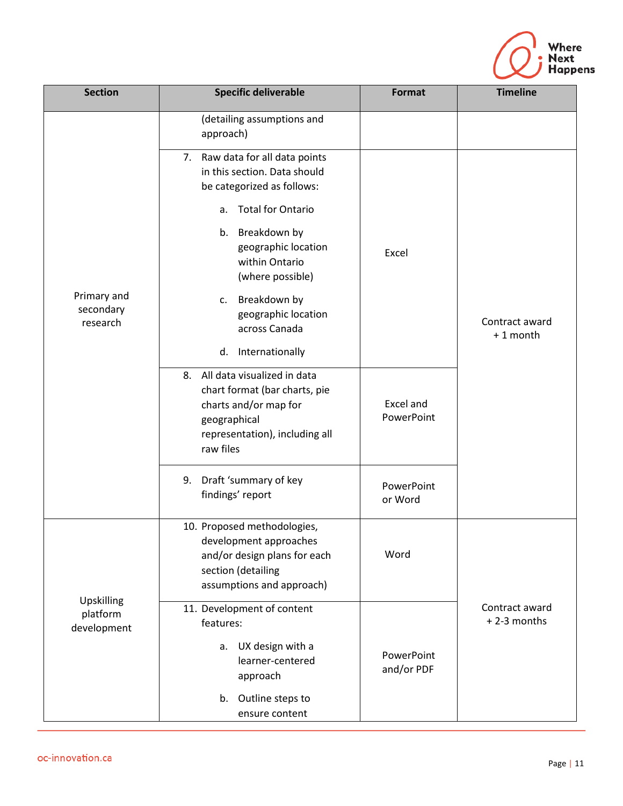

| <b>Section</b>                        | <b>Specific deliverable</b>                                                                                                                                                                                                                                                                         | <b>Format</b>            | <b>Timeline</b>               |
|---------------------------------------|-----------------------------------------------------------------------------------------------------------------------------------------------------------------------------------------------------------------------------------------------------------------------------------------------------|--------------------------|-------------------------------|
| Primary and<br>secondary<br>research  | (detailing assumptions and<br>approach)                                                                                                                                                                                                                                                             |                          |                               |
|                                       | 7. Raw data for all data points<br>in this section. Data should<br>be categorized as follows:<br><b>Total for Ontario</b><br>a.<br>b. Breakdown by<br>geographic location<br>within Ontario<br>(where possible)<br>c. Breakdown by<br>geographic location<br>across Canada<br>Internationally<br>d. | Excel                    | Contract award<br>+1 month    |
|                                       | 8. All data visualized in data<br>chart format (bar charts, pie<br>charts and/or map for<br>geographical<br>representation), including all<br>raw files                                                                                                                                             | Excel and<br>PowerPoint  |                               |
|                                       | Draft 'summary of key<br>9.<br>findings' report                                                                                                                                                                                                                                                     | PowerPoint<br>or Word    |                               |
| Upskilling<br>platform<br>development | 10. Proposed methodologies,<br>development approaches<br>and/or design plans for each<br>section (detailing<br>assumptions and approach)                                                                                                                                                            | Word                     |                               |
|                                       | 11. Development of content<br>features:<br>UX design with a<br>a.<br>learner-centered<br>approach                                                                                                                                                                                                   | PowerPoint<br>and/or PDF | Contract award<br>+2-3 months |
|                                       | b. Outline steps to<br>ensure content                                                                                                                                                                                                                                                               |                          |                               |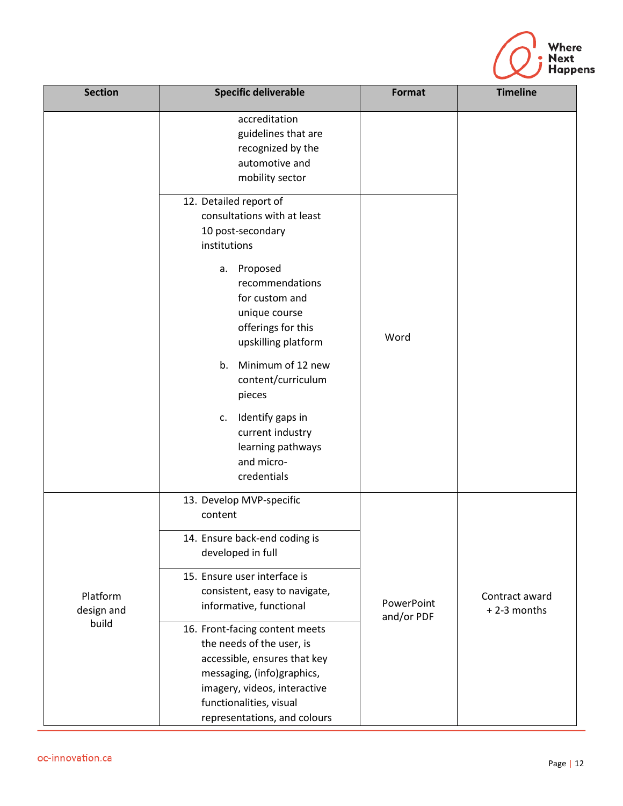

| <b>Section</b>                  | <b>Specific deliverable</b>                                                                                                                                                                                                             | Format                   | <b>Timeline</b>               |
|---------------------------------|-----------------------------------------------------------------------------------------------------------------------------------------------------------------------------------------------------------------------------------------|--------------------------|-------------------------------|
|                                 | accreditation<br>guidelines that are<br>recognized by the<br>automotive and<br>mobility sector                                                                                                                                          |                          |                               |
|                                 | 12. Detailed report of<br>consultations with at least<br>10 post-secondary<br>institutions<br>Proposed<br>а.<br>recommendations<br>for custom and<br>unique course<br>offerings for this<br>upskilling platform<br>b. Minimum of 12 new | Word                     |                               |
|                                 | content/curriculum<br>pieces<br>c. Identify gaps in<br>current industry<br>learning pathways<br>and micro-<br>credentials                                                                                                               |                          |                               |
| Platform<br>design and<br>build | 13. Develop MVP-specific<br>content<br>14. Ensure back-end coding is<br>developed in full                                                                                                                                               |                          |                               |
|                                 | 15. Ensure user interface is<br>consistent, easy to navigate,<br>informative, functional<br>16. Front-facing content meets                                                                                                              | PowerPoint<br>and/or PDF | Contract award<br>+2-3 months |
|                                 | the needs of the user, is<br>accessible, ensures that key<br>messaging, (info)graphics,<br>imagery, videos, interactive<br>functionalities, visual<br>representations, and colours                                                      |                          |                               |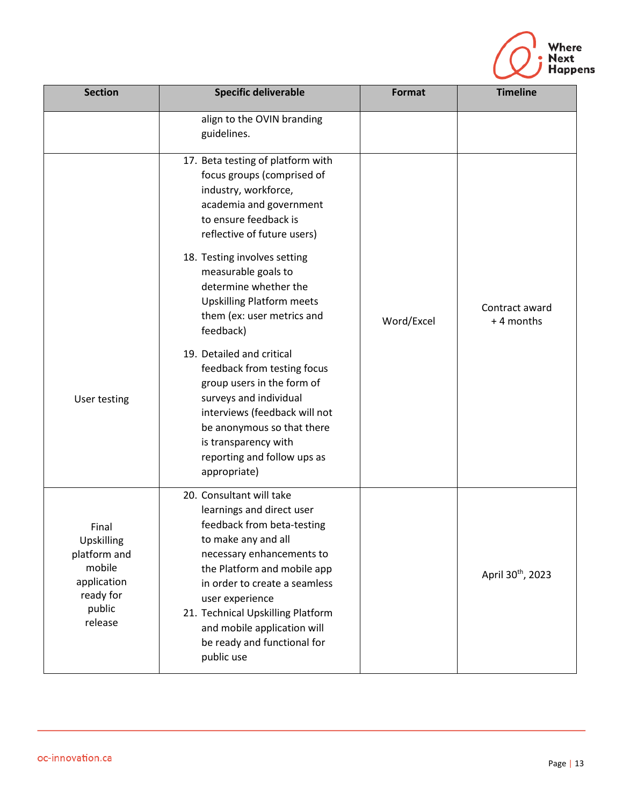

| <b>Section</b>                                                                                 | <b>Specific deliverable</b>                                                                                                                                                                                                                                                                                                                 | Format     | <b>Timeline</b>               |
|------------------------------------------------------------------------------------------------|---------------------------------------------------------------------------------------------------------------------------------------------------------------------------------------------------------------------------------------------------------------------------------------------------------------------------------------------|------------|-------------------------------|
|                                                                                                | align to the OVIN branding<br>guidelines.                                                                                                                                                                                                                                                                                                   |            |                               |
|                                                                                                | 17. Beta testing of platform with<br>focus groups (comprised of<br>industry, workforce,<br>academia and government<br>to ensure feedback is<br>reflective of future users)<br>18. Testing involves setting<br>measurable goals to                                                                                                           |            |                               |
|                                                                                                | determine whether the<br><b>Upskilling Platform meets</b><br>them (ex: user metrics and<br>feedback)                                                                                                                                                                                                                                        | Word/Excel | Contract award<br>+4 months   |
| User testing                                                                                   | 19. Detailed and critical<br>feedback from testing focus<br>group users in the form of<br>surveys and individual<br>interviews (feedback will not<br>be anonymous so that there<br>is transparency with<br>reporting and follow ups as<br>appropriate)                                                                                      |            |                               |
| Final<br>Upskilling<br>platform and<br>mobile<br>application<br>ready for<br>public<br>release | 20. Consultant will take<br>learnings and direct user<br>feedback from beta-testing<br>to make any and all<br>necessary enhancements to<br>the Platform and mobile app<br>in order to create a seamless<br>user experience<br>21. Technical Upskilling Platform<br>and mobile application will<br>be ready and functional for<br>public use |            | April 30 <sup>th</sup> , 2023 |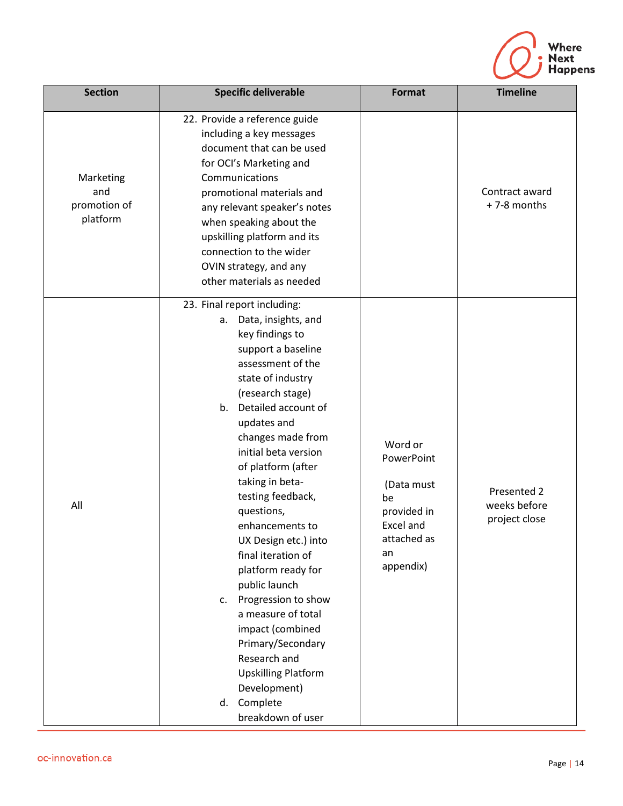

| <b>Section</b>                               | <b>Specific deliverable</b>                                                                                                                                                                                                                                                                                                                                                                                                                                                                                                                                                                                                          | <b>Format</b>                                                                                           | <b>Timeline</b>                              |
|----------------------------------------------|--------------------------------------------------------------------------------------------------------------------------------------------------------------------------------------------------------------------------------------------------------------------------------------------------------------------------------------------------------------------------------------------------------------------------------------------------------------------------------------------------------------------------------------------------------------------------------------------------------------------------------------|---------------------------------------------------------------------------------------------------------|----------------------------------------------|
| Marketing<br>and<br>promotion of<br>platform | 22. Provide a reference guide<br>including a key messages<br>document that can be used<br>for OCI's Marketing and<br>Communications<br>promotional materials and<br>any relevant speaker's notes<br>when speaking about the<br>upskilling platform and its<br>connection to the wider<br>OVIN strategy, and any<br>other materials as needed                                                                                                                                                                                                                                                                                         |                                                                                                         | Contract award<br>+7-8 months                |
| All                                          | 23. Final report including:<br>Data, insights, and<br>а.<br>key findings to<br>support a baseline<br>assessment of the<br>state of industry<br>(research stage)<br>b. Detailed account of<br>updates and<br>changes made from<br>initial beta version<br>of platform (after<br>taking in beta-<br>testing feedback,<br>questions,<br>enhancements to<br>UX Design etc.) into<br>final iteration of<br>platform ready for<br>public launch<br>c. Progression to show<br>a measure of total<br>impact (combined<br>Primary/Secondary<br>Research and<br><b>Upskilling Platform</b><br>Development)<br>d. Complete<br>breakdown of user | Word or<br>PowerPoint<br>(Data must<br>be<br>provided in<br>Excel and<br>attached as<br>an<br>appendix) | Presented 2<br>weeks before<br>project close |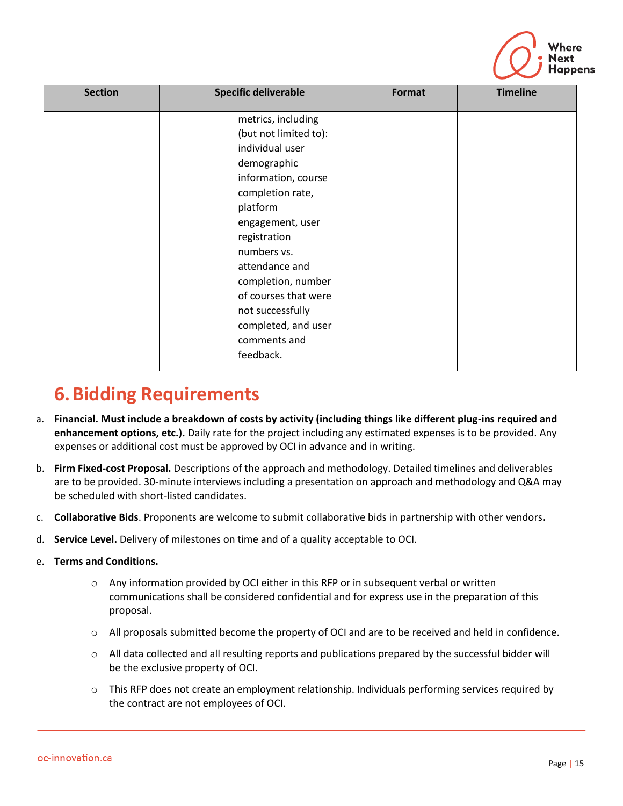

| <b>Section</b> | <b>Specific deliverable</b>                                                                                                                                                                                                                                                                        | Format | <b>Timeline</b> |
|----------------|----------------------------------------------------------------------------------------------------------------------------------------------------------------------------------------------------------------------------------------------------------------------------------------------------|--------|-----------------|
|                | metrics, including<br>(but not limited to):<br>individual user<br>demographic<br>information, course<br>completion rate,<br>platform<br>engagement, user<br>registration<br>numbers vs.<br>attendance and<br>completion, number<br>of courses that were<br>not successfully<br>completed, and user |        |                 |
|                | comments and<br>feedback.                                                                                                                                                                                                                                                                          |        |                 |

## **6.Bidding Requirements**

- a. **Financial. Must include a breakdown of costs by activity (including things like different plug-ins required and enhancement options, etc.).** Daily rate for the project including any estimated expenses is to be provided. Any expenses or additional cost must be approved by OCI in advance and in writing.
- b. **Firm Fixed-cost Proposal.** Descriptions of the approach and methodology. Detailed timelines and deliverables are to be provided. 30-minute interviews including a presentation on approach and methodology and Q&A may be scheduled with short-listed candidates.
- c. **Collaborative Bids**. Proponents are welcome to submit collaborative bids in partnership with other vendors**.**
- d. **Service Level.** Delivery of milestones on time and of a quality acceptable to OCI.
- e. **Terms and Conditions.**
	- $\circ$  Any information provided by OCI either in this RFP or in subsequent verbal or written communications shall be considered confidential and for express use in the preparation of this proposal.
	- o All proposals submitted become the property of OCI and are to be received and held in confidence.
	- $\circ$  All data collected and all resulting reports and publications prepared by the successful bidder will be the exclusive property of OCI.
	- $\circ$  This RFP does not create an employment relationship. Individuals performing services required by the contract are not employees of OCI.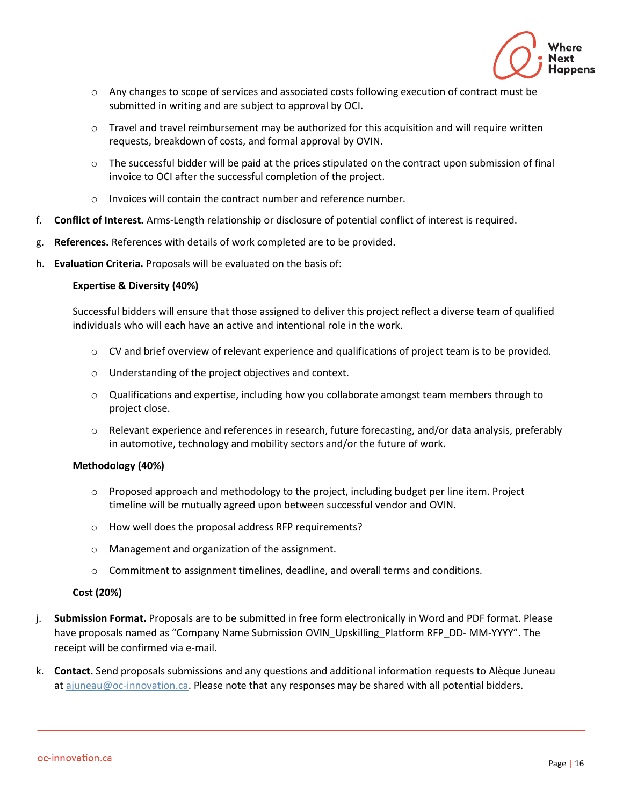

- $\circ$  Any changes to scope of services and associated costs following execution of contract must be submitted in writing and are subject to approval by OCI.
- $\circ$  Travel and travel reimbursement may be authorized for this acquisition and will require written requests, breakdown of costs, and formal approval by OVIN.
- $\circ$  The successful bidder will be paid at the prices stipulated on the contract upon submission of final invoice to OCI after the successful completion of the project.
- o Invoices will contain the contract number and reference number.
- f. **Conflict of Interest.** Arms-Length relationship or disclosure of potential conflict of interest is required.
- g. **References.** References with details of work completed are to be provided.
- h. **Evaluation Criteria.** Proposals will be evaluated on the basis of:

#### **Expertise & Diversity (40%)**

Successful bidders will ensure that those assigned to deliver this project reflect a diverse team of qualified individuals who will each have an active and intentional role in the work.

- o CV and brief overview of relevant experience and qualifications of project team is to be provided.
- o Understanding of the project objectives and context.
- $\circ$  Qualifications and expertise, including how you collaborate amongst team members through to project close.
- o Relevant experience and references in research, future forecasting, and/or data analysis, preferably in automotive, technology and mobility sectors and/or the future of work.

#### **Methodology (40%)**

- o Proposed approach and methodology to the project, including budget per line item. Project timeline will be mutually agreed upon between successful vendor and OVIN.
- o How well does the proposal address RFP requirements?
- o Management and organization of the assignment.
- $\circ$  Commitment to assignment timelines, deadline, and overall terms and conditions.

#### **Cost (20%)**

- j. **Submission Format.** Proposals are to be submitted in free form electronically in Word and PDF format. Please have proposals named as "Company Name Submission OVIN\_Upskilling\_Platform RFP\_DD- MM-YYYY". The receipt will be confirmed via e-mail.
- k. **Contact.** Send proposals submissions and any questions and additional information requests to Alèque Juneau at [ajuneau@oc-innovation.ca.](mailto:ajuneau@oc-innovation.ca) Please note that any responses may be shared with all potential bidders.